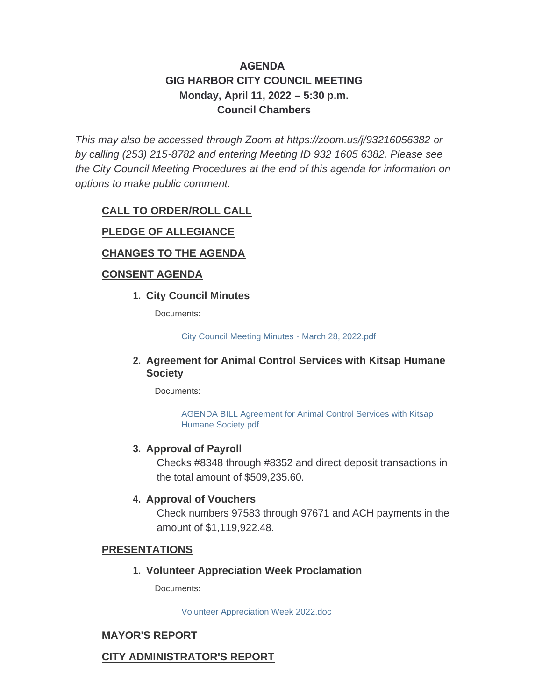# **AGENDA GIG HARBOR CITY COUNCIL MEETING Monday, April 11, 2022 – 5:30 p.m. Council Chambers**

*This may also be accessed through Zoom at <https://zoom.us/j/93216056382> or by calling (253) 215-8782 and entering Meeting ID 932 1605 6382. Please see the City Council Meeting Procedures at the end of this agenda for information on options to make public comment.*

## **CALL TO ORDER/ROLL CALL**

### **PLEDGE OF ALLEGIANCE**

## **CHANGES TO THE AGENDA**

### **CONSENT AGENDA**

### **City Council Minutes 1.**

Documents:

[City Council Meeting Minutes - March 28, 2022.pdf](http://www.cityofgigharbor.net/AgendaCenter/ViewFile/Item/904?fileID=1868)

### **Agreement for Animal Control Services with Kitsap Humane 2. Society**

Documents:

[AGENDA BILL Agreement for Animal Control Services with Kitsap](http://www.cityofgigharbor.net/AgendaCenter/ViewFile/Item/905?fileID=1872)  Humane Society.pdf

### **Approval of Payroll 3.**

Checks #8348 through #8352 and direct deposit transactions in the total amount of \$509,235.60.

### **4. Approval of Vouchers**

Check numbers 97583 through 97671 and ACH payments in the amount of \$1,119,922.48.

#### **PRESENTATIONS**

**Volunteer Appreciation Week Proclamation 1.**

Documents:

[Volunteer Appreciation Week 2022.doc](http://www.cityofgigharbor.net/AgendaCenter/ViewFile/Item/899?fileID=1866)

### **MAYOR'S REPORT**

### **CITY ADMINISTRATOR'S REPORT**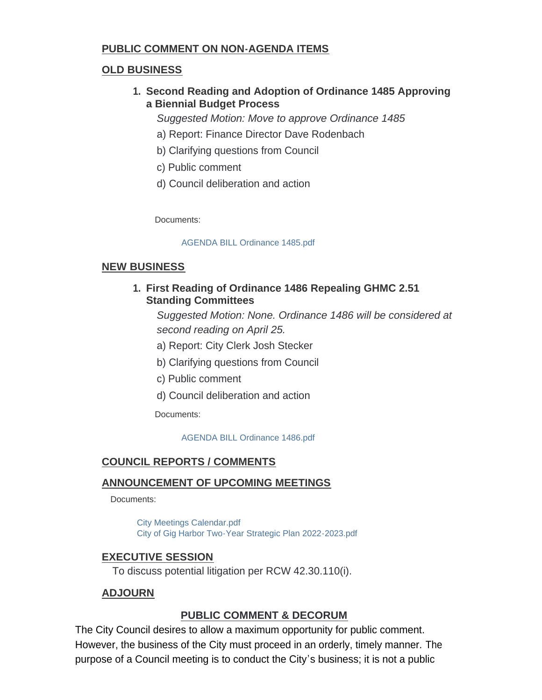# **PUBLIC COMMENT ON NON-AGENDA ITEMS**

# **OLD BUSINESS**

**Second Reading and Adoption of Ordinance 1485 Approving 1. a Biennial Budget Process**

*Suggested Motion: Move to approve Ordinance 1485*

- a) Report: Finance Director Dave Rodenbach
- b) Clarifying questions from Council
- c) Public comment
- d) Council deliberation and action

Documents:

### [AGENDA BILL Ordinance 1485.pdf](http://www.cityofgigharbor.net/AgendaCenter/ViewFile/Item/901?fileID=1867)

## **NEW BUSINESS**

**First Reading of Ordinance 1486 Repealing GHMC 2.51 1. Standing Committees**

*Suggested Motion: None. Ordinance 1486 will be considered at second reading on April 25.*

- a) Report: City Clerk Josh Stecker
- b) Clarifying questions from Council
- c) Public comment
- d) Council deliberation and action

Documents:

[AGENDA BILL Ordinance 1486.pdf](http://www.cityofgigharbor.net/AgendaCenter/ViewFile/Item/900?fileID=1871)

# **COUNCIL REPORTS / COMMENTS**

### **ANNOUNCEMENT OF UPCOMING MEETINGS**

Documents:

[City Meetings Calendar.pdf](http://www.cityofgigharbor.net/AgendaCenter/ViewFile/Item/903?fileID=1870) [City of Gig Harbor Two-Year Strategic Plan 2022-2023.pdf](http://www.cityofgigharbor.net/AgendaCenter/ViewFile/Item/903?fileID=1869)

# **EXECUTIVE SESSION**

To discuss potential litigation per RCW 42.30.110(i).

# **ADJOURN**

# **PUBLIC COMMENT & DECORUM**

The City Council desires to allow a maximum opportunity for public comment. However, the business of the City must proceed in an orderly, timely manner. The purpose of a Council meeting is to conduct the City's business; it is not a public